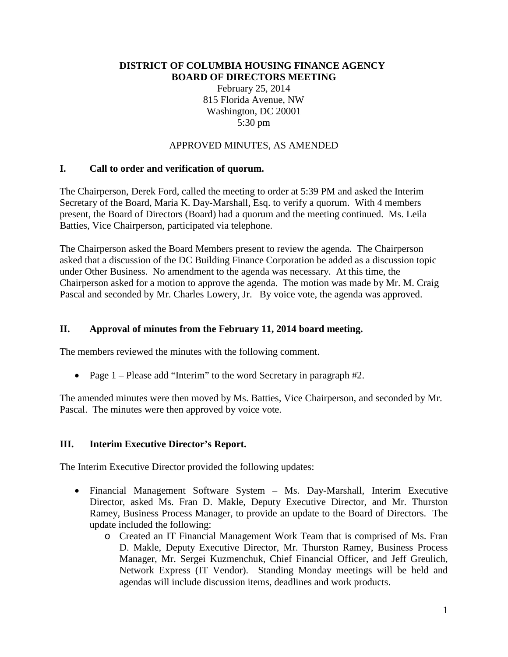#### **DISTRICT OF COLUMBIA HOUSING FINANCE AGENCY BOARD OF DIRECTORS MEETING**

February 25, 2014 815 Florida Avenue, NW Washington, DC 20001 5:30 pm

# APPROVED MINUTES, AS AMENDED

### **I. Call to order and verification of quorum.**

The Chairperson, Derek Ford, called the meeting to order at 5:39 PM and asked the Interim Secretary of the Board, Maria K. Day-Marshall, Esq. to verify a quorum. With 4 members present, the Board of Directors (Board) had a quorum and the meeting continued. Ms. Leila Batties, Vice Chairperson, participated via telephone.

The Chairperson asked the Board Members present to review the agenda. The Chairperson asked that a discussion of the DC Building Finance Corporation be added as a discussion topic under Other Business. No amendment to the agenda was necessary. At this time, the Chairperson asked for a motion to approve the agenda. The motion was made by Mr. M. Craig Pascal and seconded by Mr. Charles Lowery, Jr. By voice vote, the agenda was approved.

## **II. Approval of minutes from the February 11, 2014 board meeting.**

The members reviewed the minutes with the following comment.

• Page 1 – Please add "Interim" to the word Secretary in paragraph #2.

The amended minutes were then moved by Ms. Batties, Vice Chairperson, and seconded by Mr. Pascal. The minutes were then approved by voice vote.

### **III. Interim Executive Director's Report.**

The Interim Executive Director provided the following updates:

- Financial Management Software System Ms. Day-Marshall, Interim Executive Director, asked Ms. Fran D. Makle, Deputy Executive Director, and Mr. Thurston Ramey, Business Process Manager, to provide an update to the Board of Directors. The update included the following:
	- o Created an IT Financial Management Work Team that is comprised of Ms. Fran D. Makle, Deputy Executive Director, Mr. Thurston Ramey, Business Process Manager, Mr. Sergei Kuzmenchuk, Chief Financial Officer, and Jeff Greulich, Network Express (IT Vendor). Standing Monday meetings will be held and agendas will include discussion items, deadlines and work products.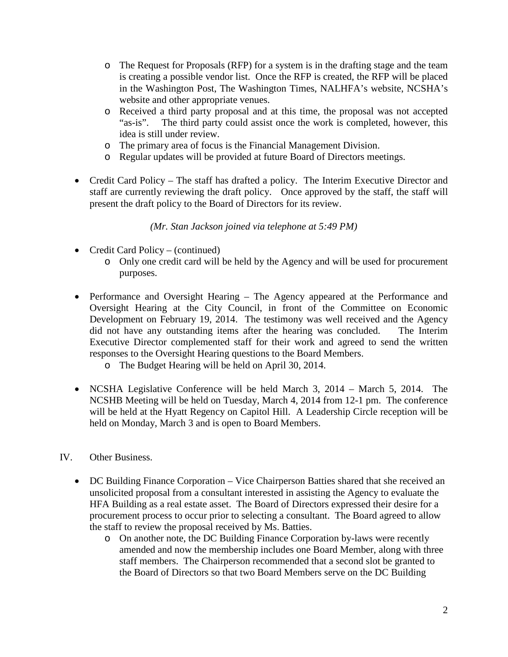- o The Request for Proposals (RFP) for a system is in the drafting stage and the team is creating a possible vendor list. Once the RFP is created, the RFP will be placed in the Washington Post, The Washington Times, NALHFA's website, NCSHA's website and other appropriate venues.
- o Received a third party proposal and at this time, the proposal was not accepted The third party could assist once the work is completed, however, this idea is still under review.
- o The primary area of focus is the Financial Management Division.
- o Regular updates will be provided at future Board of Directors meetings.
- Credit Card Policy The staff has drafted a policy. The Interim Executive Director and staff are currently reviewing the draft policy. Once approved by the staff, the staff will present the draft policy to the Board of Directors for its review.

*(Mr. Stan Jackson joined via telephone at 5:49 PM)*

- Credit Card Policy (continued)
	- o Only one credit card will be held by the Agency and will be used for procurement purposes.
- Performance and Oversight Hearing The Agency appeared at the Performance and Oversight Hearing at the City Council, in front of the Committee on Economic Development on February 19, 2014. The testimony was well received and the Agency did not have any outstanding items after the hearing was concluded. The Interim Executive Director complemented staff for their work and agreed to send the written responses to the Oversight Hearing questions to the Board Members.
	- o The Budget Hearing will be held on April 30, 2014.
- NCSHA Legislative Conference will be held March 3, 2014 March 5, 2014. The NCSHB Meeting will be held on Tuesday, March 4, 2014 from 12-1 pm. The conference will be held at the Hyatt Regency on Capitol Hill. A Leadership Circle reception will be held on Monday, March 3 and is open to Board Members.
- IV. Other Business.
	- DC Building Finance Corporation Vice Chairperson Batties shared that she received an unsolicited proposal from a consultant interested in assisting the Agency to evaluate the HFA Building as a real estate asset. The Board of Directors expressed their desire for a procurement process to occur prior to selecting a consultant. The Board agreed to allow the staff to review the proposal received by Ms. Batties.
		- o On another note, the DC Building Finance Corporation by-laws were recently amended and now the membership includes one Board Member, along with three staff members. The Chairperson recommended that a second slot be granted to the Board of Directors so that two Board Members serve on the DC Building